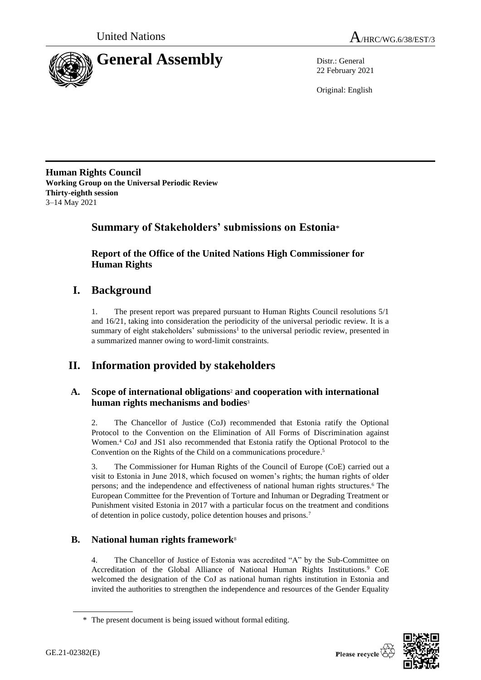



22 February 2021

Original: English

**Human Rights Council Working Group on the Universal Periodic Review Thirty-eighth session** 3–14 May 2021

# **Summary of Stakeholders' submissions on Estonia**\*

**Report of the Office of the United Nations High Commissioner for Human Rights**

# **I. Background**

1. The present report was prepared pursuant to Human Rights Council resolutions 5/1 and 16/21, taking into consideration the periodicity of the universal periodic review. It is a summary of eight stakeholders' submissions<sup>1</sup> to the universal periodic review, presented in a summarized manner owing to word-limit constraints.

# **II. Information provided by stakeholders**

### **A. Scope of international obligations**<sup>2</sup> **and cooperation with international human rights mechanisms and bodies**<sup>3</sup>

2. The Chancellor of Justice (CoJ) recommended that Estonia ratify the Optional Protocol to the Convention on the Elimination of All Forms of Discrimination against Women.<sup>4</sup> CoJ and JS1 also recommended that Estonia ratify the Optional Protocol to the Convention on the Rights of the Child on a communications procedure. 5

3. The Commissioner for Human Rights of the Council of Europe (CoE) carried out a visit to Estonia in June 2018, which focused on women's rights; the human rights of older persons; and the independence and effectiveness of national human rights structures. <sup>6</sup> The European Committee for the Prevention of Torture and Inhuman or Degrading Treatment or Punishment visited Estonia in 2017 with a particular focus on the treatment and conditions of detention in police custody, police detention houses and prisons.<sup>7</sup>

### **B. National human rights framework**<sup>8</sup>

4. The Chancellor of Justice of Estonia was accredited "A" by the Sub-Committee on Accreditation of the Global Alliance of National Human Rights Institutions.<sup>9</sup> CoE welcomed the designation of the CoJ as national human rights institution in Estonia and invited the authorities to strengthen the independence and resources of the Gender Equality



<sup>\*</sup> The present document is being issued without formal editing.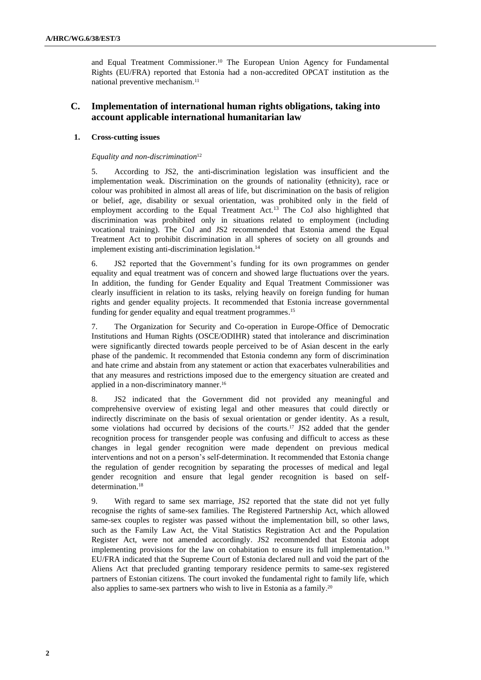and Equal Treatment Commissioner. <sup>10</sup> The European Union Agency for Fundamental Rights (EU/FRA) reported that Estonia had a non-accredited OPCAT institution as the national preventive mechanism.<sup>11</sup>

### **C. Implementation of international human rights obligations, taking into account applicable international humanitarian law**

#### **1. Cross-cutting issues**

#### *Equality and non-discrimination*<sup>12</sup>

5. According to JS2, the anti-discrimination legislation was insufficient and the implementation weak. Discrimination on the grounds of nationality (ethnicity), race or colour was prohibited in almost all areas of life, but discrimination on the basis of religion or belief, age, disability or sexual orientation, was prohibited only in the field of employment according to the Equal Treatment Act.<sup>13</sup> The CoJ also highlighted that discrimination was prohibited only in situations related to employment (including vocational training). The CoJ and JS2 recommended that Estonia amend the Equal Treatment Act to prohibit discrimination in all spheres of society on all grounds and implement existing anti-discrimination legislation. 14

6. JS2 reported that the Government's funding for its own programmes on gender equality and equal treatment was of concern and showed large fluctuations over the years. In addition, the funding for Gender Equality and Equal Treatment Commissioner was clearly insufficient in relation to its tasks, relying heavily on foreign funding for human rights and gender equality projects. It recommended that Estonia increase governmental funding for gender equality and equal treatment programmes. 15

7. The Organization for Security and Co-operation in Europe-Office of Democratic Institutions and Human Rights (OSCE/ODIHR) stated that intolerance and discrimination were significantly directed towards people perceived to be of Asian descent in the early phase of the pandemic. It recommended that Estonia condemn any form of discrimination and hate crime and abstain from any statement or action that exacerbates vulnerabilities and that any measures and restrictions imposed due to the emergency situation are created and applied in a non-discriminatory manner. 16

8. JS2 indicated that the Government did not provided any meaningful and comprehensive overview of existing legal and other measures that could directly or indirectly discriminate on the basis of sexual orientation or gender identity. As a result, some violations had occurred by decisions of the courts.<sup>17</sup> JS2 added that the gender recognition process for transgender people was confusing and difficult to access as these changes in legal gender recognition were made dependent on previous medical interventions and not on a person's self-determination. It recommended that Estonia change the regulation of gender recognition by separating the processes of medical and legal gender recognition and ensure that legal gender recognition is based on selfdetermination.<sup>18</sup>

9. With regard to same sex marriage, JS2 reported that the state did not yet fully recognise the rights of same-sex families. The Registered Partnership Act, which allowed same-sex couples to register was passed without the implementation bill, so other laws, such as the Family Law Act, the Vital Statistics Registration Act and the Population Register Act, were not amended accordingly. JS2 recommended that Estonia adopt implementing provisions for the law on cohabitation to ensure its full implementation.<sup>19</sup> EU/FRA indicated that the Supreme Court of Estonia declared null and void the part of the Aliens Act that precluded granting temporary residence permits to same-sex registered partners of Estonian citizens. The court invoked the fundamental right to family life, which also applies to same-sex partners who wish to live in Estonia as a family.<sup>20</sup>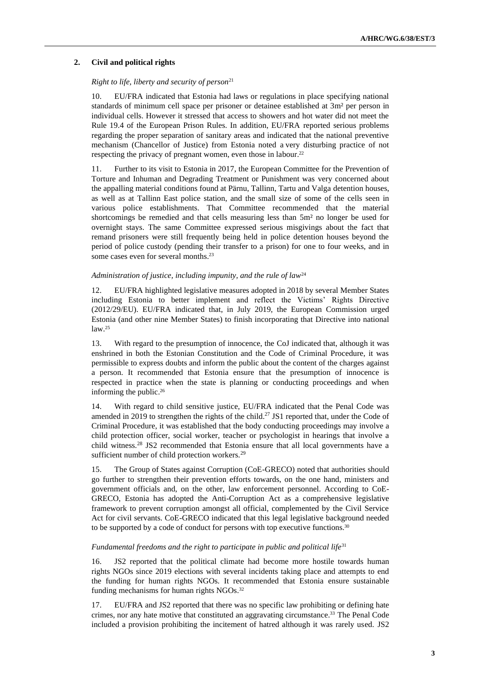#### **2. Civil and political rights**

#### *Right to life, liberty and security of person*<sup>21</sup>

10. EU/FRA indicated that Estonia had laws or regulations in place specifying national standards of minimum cell space per prisoner or detainee established at 3m² per person in individual cells. However it stressed that access to showers and hot water did not meet the Rule 19.4 of the European Prison Rules. In addition, EU/FRA reported serious problems regarding the proper separation of sanitary areas and indicated that the national preventive mechanism (Chancellor of Justice) from Estonia noted a very disturbing practice of not respecting the privacy of pregnant women, even those in labour. 22

11. Further to its visit to Estonia in 2017, the European Committee for the Prevention of Torture and Inhuman and Degrading Treatment or Punishment was very concerned about the appalling material conditions found at Pärnu, Tallinn, Tartu and Valga detention houses, as well as at Tallinn East police station, and the small size of some of the cells seen in various police establishments. That Committee recommended that the material shortcomings be remedied and that cells measuring less than 5m² no longer be used for overnight stays. The same Committee expressed serious misgivings about the fact that remand prisoners were still frequently being held in police detention houses beyond the period of police custody (pending their transfer to a prison) for one to four weeks, and in some cases even for several months. 23

#### *Administration of justice, including impunity, and the rule of law*<sup>24</sup>

12. EU/FRA highlighted legislative measures adopted in 2018 by several Member States including Estonia to better implement and reflect the Victims' Rights Directive (2012/29/EU). EU/FRA indicated that, in July 2019, the European Commission urged Estonia (and other nine Member States) to finish incorporating that Directive into national law.<sup>25</sup>

13. With regard to the presumption of innocence, the CoJ indicated that, although it was enshrined in both the Estonian Constitution and the Code of Criminal Procedure, it was permissible to express doubts and inform the public about the content of the charges against a person. It recommended that Estonia ensure that the presumption of innocence is respected in practice when the state is planning or conducting proceedings and when informing the public. 26

14. With regard to child sensitive justice, EU/FRA indicated that the Penal Code was amended in 2019 to strengthen the rights of the child.<sup>27</sup> JS1 reported that, under the Code of Criminal Procedure, it was established that the body conducting proceedings may involve a child protection officer, social worker, teacher or psychologist in hearings that involve a child witness.<sup>28</sup> JS2 recommended that Estonia ensure that all local governments have a sufficient number of child protection workers.<sup>29</sup>

15. The Group of States against Corruption (CoE-GRECO) noted that authorities should go further to strengthen their prevention efforts towards, on the one hand, ministers and government officials and, on the other, law enforcement personnel. According to CoE-GRECO, Estonia has adopted the Anti-Corruption Act as a comprehensive legislative framework to prevent corruption amongst all official, complemented by the Civil Service Act for civil servants. CoE-GRECO indicated that this legal legislative background needed to be supported by a code of conduct for persons with top executive functions.<sup>30</sup>

#### *Fundamental freedoms and the right to participate in public and political life*<sup>31</sup>

16. JS2 reported that the political climate had become more hostile towards human rights NGOs since 2019 elections with several incidents taking place and attempts to end the funding for human rights NGOs. It recommended that Estonia ensure sustainable funding mechanisms for human rights NGOs.<sup>32</sup>

17. EU/FRA and JS2 reported that there was no specific law prohibiting or defining hate crimes, nor any hate motive that constituted an aggravating circumstance. <sup>33</sup> The Penal Code included a provision prohibiting the incitement of hatred although it was rarely used. JS2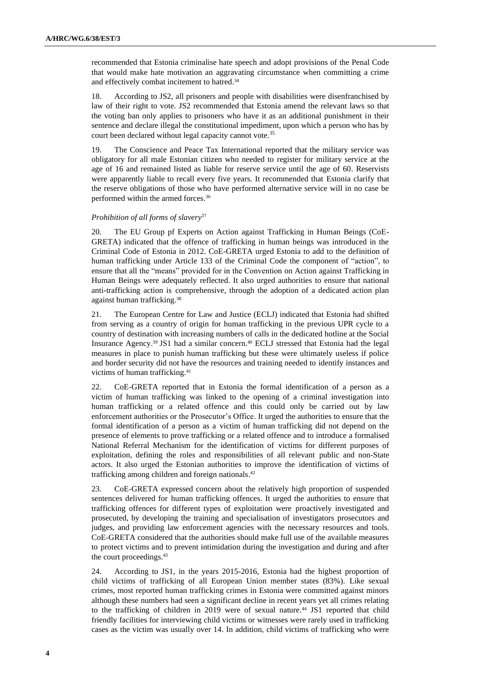recommended that Estonia criminalise hate speech and adopt provisions of the Penal Code that would make hate motivation an aggravating circumstance when committing a crime and effectively combat incitement to hatred. 34

18. According to JS2, all prisoners and people with disabilities were disenfranchised by law of their right to vote. JS2 recommended that Estonia amend the relevant laws so that the voting ban only applies to prisoners who have it as an additional punishment in their sentence and declare illegal the constitutional impediment, upon which a person who has by court been declared without legal capacity cannot vote.<sup>35</sup>

19. The Conscience and Peace Tax International reported that the military service was obligatory for all male Estonian citizen who needed to register for military service at the age of 16 and remained listed as liable for reserve service until the age of 60. Reservists were apparently liable to recall every five years. It recommended that Estonia clarify that the reserve obligations of those who have performed alternative service will in no case be performed within the armed forces. 36

#### *Prohibition of all forms of slavery*<sup>37</sup>

20. The EU Group pf Experts on Action against Trafficking in Human Beings (CoE-GRETA) indicated that the offence of trafficking in human beings was introduced in the Criminal Code of Estonia in 2012. CoE-GRETA urged Estonia to add to the definition of human trafficking under Article 133 of the Criminal Code the component of "action", to ensure that all the "means" provided for in the Convention on Action against Trafficking in Human Beings were adequately reflected. It also urged authorities to ensure that national anti-trafficking action is comprehensive, through the adoption of a dedicated action plan against human trafficking. 38

21. The European Centre for Law and Justice (ECLJ) indicated that Estonia had shifted from serving as a country of origin for human trafficking in the previous UPR cycle to a country of destination with increasing numbers of calls in the dedicated hotline at the Social Insurance Agency.<sup>39</sup> JS1 had a similar concern.<sup>40</sup> ECLJ stressed that Estonia had the legal measures in place to punish human trafficking but these were ultimately useless if police and border security did not have the resources and training needed to identify instances and victims of human trafficking.<sup>41</sup>

22. CoE-GRETA reported that in Estonia the formal identification of a person as a victim of human trafficking was linked to the opening of a criminal investigation into human trafficking or a related offence and this could only be carried out by law enforcement authorities or the Prosecutor's Office. It urged the authorities to ensure that the formal identification of a person as a victim of human trafficking did not depend on the presence of elements to prove trafficking or a related offence and to introduce a formalised National Referral Mechanism for the identification of victims for different purposes of exploitation, defining the roles and responsibilities of all relevant public and non-State actors. It also urged the Estonian authorities to improve the identification of victims of trafficking among children and foreign nationals. 42

23. CoE-GRETA expressed concern about the relatively high proportion of suspended sentences delivered for human trafficking offences. It urged the authorities to ensure that trafficking offences for different types of exploitation were proactively investigated and prosecuted, by developing the training and specialisation of investigators prosecutors and judges, and providing law enforcement agencies with the necessary resources and tools. CoE-GRETA considered that the authorities should make full use of the available measures to protect victims and to prevent intimidation during the investigation and during and after the court proceedings.<sup>43</sup>

24. According to JS1, in the years 2015-2016, Estonia had the highest proportion of child victims of trafficking of all European Union member states (83%). Like sexual crimes, most reported human trafficking crimes in Estonia were committed against minors although these numbers had seen a significant decline in recent years yet all crimes relating to the trafficking of children in 2019 were of sexual nature.<sup>44</sup> JS1 reported that child friendly facilities for interviewing child victims or witnesses were rarely used in trafficking cases as the victim was usually over 14. In addition, child victims of trafficking who were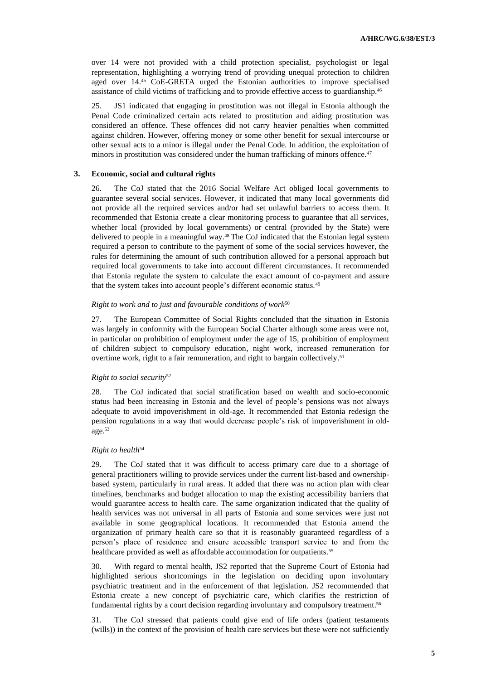over 14 were not provided with a child protection specialist, psychologist or legal representation, highlighting a worrying trend of providing unequal protection to children aged over 14.<sup>45</sup> CoE-GRETA urged the Estonian authorities to improve specialised assistance of child victims of trafficking and to provide effective access to guardianship.<sup>46</sup>

25. JS1 indicated that engaging in prostitution was not illegal in Estonia although the Penal Code criminalized certain acts related to prostitution and aiding prostitution was considered an offence. These offences did not carry heavier penalties when committed against children. However, offering money or some other benefit for sexual intercourse or other sexual acts to a minor is illegal under the Penal Code. In addition, the exploitation of minors in prostitution was considered under the human trafficking of minors offence.<sup>47</sup>

#### **3. Economic, social and cultural rights**

26. The CoJ stated that the 2016 Social Welfare Act obliged local governments to guarantee several social services. However, it indicated that many local governments did not provide all the required services and/or had set unlawful barriers to access them. It recommended that Estonia create a clear monitoring process to guarantee that all services, whether local (provided by local governments) or central (provided by the State) were delivered to people in a meaningful way.<sup>48</sup> The CoJ indicated that the Estonian legal system required a person to contribute to the payment of some of the social services however, the rules for determining the amount of such contribution allowed for a personal approach but required local governments to take into account different circumstances. It recommended that Estonia regulate the system to calculate the exact amount of co-payment and assure that the system takes into account people's different economic status.<sup>49</sup>

#### *Right to work and to just and favourable conditions of work*<sup>50</sup>

27. The European Committee of Social Rights concluded that the situation in Estonia was largely in conformity with the European Social Charter although some areas were not, in particular on prohibition of employment under the age of 15, prohibition of employment of children subject to compulsory education, night work, increased remuneration for overtime work, right to a fair remuneration, and right to bargain collectively. 51

#### *Right to social security*<sup>52</sup>

28. The CoJ indicated that social stratification based on wealth and socio-economic status had been increasing in Estonia and the level of people's pensions was not always adequate to avoid impoverishment in old-age. It recommended that Estonia redesign the pension regulations in a way that would decrease people's risk of impoverishment in oldage.<sup>53</sup>

#### *Right to health*<sup>54</sup>

The CoJ stated that it was difficult to access primary care due to a shortage of general practitioners willing to provide services under the current list-based and ownershipbased system, particularly in rural areas. It added that there was no action plan with clear timelines, benchmarks and budget allocation to map the existing accessibility barriers that would guarantee access to health care. The same organization indicated that the quality of health services was not universal in all parts of Estonia and some services were just not available in some geographical locations. It recommended that Estonia amend the organization of primary health care so that it is reasonably guaranteed regardless of a person's place of residence and ensure accessible transport service to and from the healthcare provided as well as affordable accommodation for outpatients.<sup>55</sup>

30. With regard to mental health, JS2 reported that the Supreme Court of Estonia had highlighted serious shortcomings in the legislation on deciding upon involuntary psychiatric treatment and in the enforcement of that legislation. JS2 recommended that Estonia create a new concept of psychiatric care, which clarifies the restriction of fundamental rights by a court decision regarding involuntary and compulsory treatment.<sup>56</sup>

31. The CoJ stressed that patients could give end of life orders (patient testaments (wills)) in the context of the provision of health care services but these were not sufficiently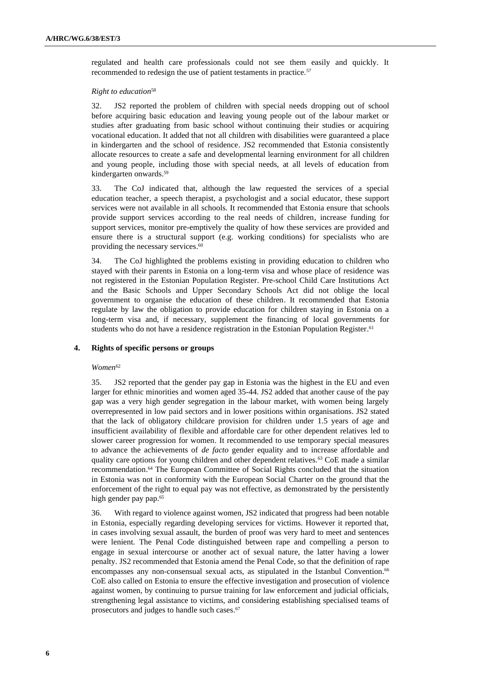regulated and health care professionals could not see them easily and quickly. It recommended to redesign the use of patient testaments in practice.<sup>57</sup>

#### *Right to education*<sup>58</sup>

32. JS2 reported the problem of children with special needs dropping out of school before acquiring basic education and leaving young people out of the labour market or studies after graduating from basic school without continuing their studies or acquiring vocational education. It added that not all children with disabilities were guaranteed a place in kindergarten and the school of residence. JS2 recommended that Estonia consistently allocate resources to create a safe and developmental learning environment for all children and young people, including those with special needs, at all levels of education from kindergarten onwards. 59

33. The CoJ indicated that, although the law requested the services of a special education teacher, a speech therapist, a psychologist and a social educator, these support services were not available in all schools. It recommended that Estonia ensure that schools provide support services according to the real needs of children, increase funding for support services, monitor pre-emptively the quality of how these services are provided and ensure there is a structural support (e.g. working conditions) for specialists who are providing the necessary services. 60

34. The CoJ highlighted the problems existing in providing education to children who stayed with their parents in Estonia on a long-term visa and whose place of residence was not registered in the Estonian Population Register. Pre-school Child Care Institutions Act and the Basic Schools and Upper Secondary Schools Act did not oblige the local government to organise the education of these children. It recommended that Estonia regulate by law the obligation to provide education for children staying in Estonia on a long-term visa and, if necessary, supplement the financing of local governments for students who do not have a residence registration in the Estonian Population Register.<sup>61</sup>

#### **4. Rights of specific persons or groups**

#### $Women^{62}$

35. JS2 reported that the gender pay gap in Estonia was the highest in the EU and even larger for ethnic minorities and women aged 35-44. JS2 added that another cause of the pay gap was a very high gender segregation in the labour market, with women being largely overrepresented in low paid sectors and in lower positions within organisations. JS2 stated that the lack of obligatory childcare provision for children under 1.5 years of age and insufficient availability of flexible and affordable care for other dependent relatives led to slower career progression for women. It recommended to use temporary special measures to advance the achievements of *de facto* gender equality and to increase affordable and quality care options for young children and other dependent relatives.<sup>63</sup> CoE made a similar recommendation. <sup>64</sup> The European Committee of Social Rights concluded that the situation in Estonia was not in conformity with the European Social Charter on the ground that the enforcement of the right to equal pay was not effective, as demonstrated by the persistently high gender pay pap.<sup>65</sup>

36. With regard to violence against women, JS2 indicated that progress had been notable in Estonia, especially regarding developing services for victims. However it reported that, in cases involving sexual assault, the burden of proof was very hard to meet and sentences were lenient. The Penal Code distinguished between rape and compelling a person to engage in sexual intercourse or another act of sexual nature, the latter having a lower penalty. JS2 recommended that Estonia amend the Penal Code, so that the definition of rape encompasses any non-consensual sexual acts, as stipulated in the Istanbul Convention.<sup>66</sup> CoE also called on Estonia to ensure the effective investigation and prosecution of violence against women, by continuing to pursue training for law enforcement and judicial officials, strengthening legal assistance to victims, and considering establishing specialised teams of prosecutors and judges to handle such cases. 67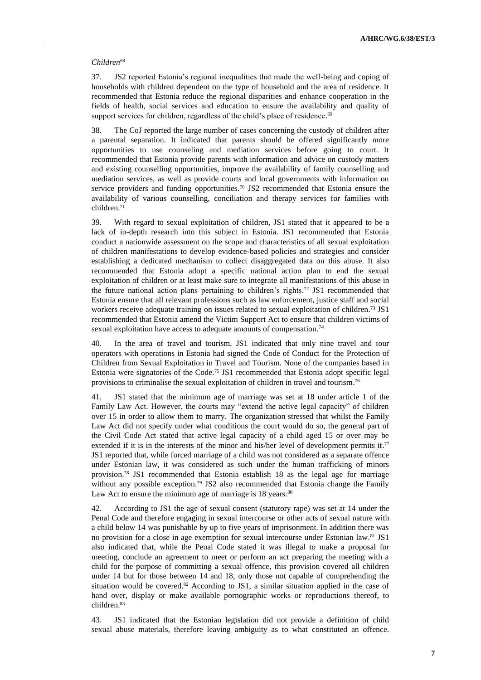#### *Children*<sup>68</sup>

37. JS2 reported Estonia's regional inequalities that made the well-being and coping of households with children dependent on the type of household and the area of residence. It recommended that Estonia reduce the regional disparities and enhance cooperation in the fields of health, social services and education to ensure the availability and quality of support services for children, regardless of the child's place of residence.<sup>69</sup>

38. The CoJ reported the large number of cases concerning the custody of children after a parental separation. It indicated that parents should be offered significantly more opportunities to use counseling and mediation services before going to court. It recommended that Estonia provide parents with information and advice on custody matters and existing counselling opportunities, improve the availability of family counselling and mediation services, as well as provide courts and local governments with information on service providers and funding opportunities. <sup>70</sup> JS2 recommended that Estonia ensure the availability of various counselling, conciliation and therapy services for families with children. 71

39. With regard to sexual exploitation of children, JS1 stated that it appeared to be a lack of in-depth research into this subject in Estonia. JS1 recommended that Estonia conduct a nationwide assessment on the scope and characteristics of all sexual exploitation of children manifestations to develop evidence-based policies and strategies and consider establishing a dedicated mechanism to collect disaggregated data on this abuse. It also recommended that Estonia adopt a specific national action plan to end the sexual exploitation of children or at least make sure to integrate all manifestations of this abuse in the future national action plans pertaining to children's rights. <sup>72</sup> JS1 recommended that Estonia ensure that all relevant professions such as law enforcement, justice staff and social workers receive adequate training on issues related to sexual exploitation of children.<sup>73</sup> JS1 recommended that Estonia amend the Victim Support Act to ensure that children victims of sexual exploitation have access to adequate amounts of compensation.<sup>74</sup>

40. In the area of travel and tourism, JS1 indicated that only nine travel and tour operators with operations in Estonia had signed the Code of Conduct for the Protection of Children from Sexual Exploitation in Travel and Tourism. None of the companies based in Estonia were signatories of the Code.<sup>75</sup> JS1 recommended that Estonia adopt specific legal provisions to criminalise the sexual exploitation of children in travel and tourism.<sup>76</sup>

41. JS1 stated that the minimum age of marriage was set at 18 under article 1 of the Family Law Act. However, the courts may "extend the active legal capacity" of children over 15 in order to allow them to marry. The organization stressed that whilst the Family Law Act did not specify under what conditions the court would do so, the general part of the Civil Code Act stated that active legal capacity of a child aged 15 or over may be extended if it is in the interests of the minor and his/her level of development permits it.<sup>77</sup> JS1 reported that, while forced marriage of a child was not considered as a separate offence under Estonian law, it was considered as such under the human trafficking of minors provision.<sup>78</sup> JS1 recommended that Estonia establish 18 as the legal age for marriage without any possible exception.<sup>79</sup> JS2 also recommended that Estonia change the Family Law Act to ensure the minimum age of marriage is  $18$  years.<sup>80</sup>

42. According to JS1 the age of sexual consent (statutory rape) was set at 14 under the Penal Code and therefore engaging in sexual intercourse or other acts of sexual nature with a child below 14 was punishable by up to five years of imprisonment. In addition there was no provision for a close in age exemption for sexual intercourse under Estonian law.<sup>81</sup> JS1 also indicated that, while the Penal Code stated it was illegal to make a proposal for meeting, conclude an agreement to meet or perform an act preparing the meeting with a child for the purpose of committing a sexual offence, this provision covered all children under 14 but for those between 14 and 18, only those not capable of comprehending the situation would be covered.<sup>82</sup> According to JS1, a similar situation applied in the case of hand over, display or make available pornographic works or reproductions thereof, to children.<sup>83</sup>

43. JS1 indicated that the Estonian legislation did not provide a definition of child sexual abuse materials, therefore leaving ambiguity as to what constituted an offence.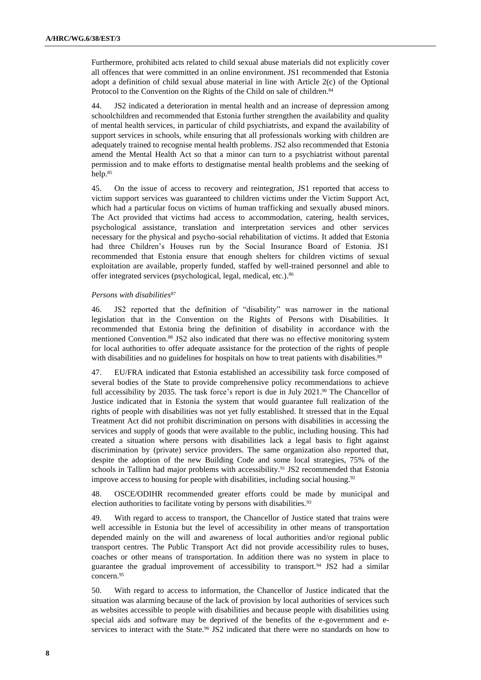Furthermore, prohibited acts related to child sexual abuse materials did not explicitly cover all offences that were committed in an online environment. JS1 recommended that Estonia adopt a definition of child sexual abuse material in line with Article 2(c) of the Optional Protocol to the Convention on the Rights of the Child on sale of children.<sup>84</sup>

44. JS2 indicated a deterioration in mental health and an increase of depression among schoolchildren and recommended that Estonia further strengthen the availability and quality of mental health services, in particular of child psychiatrists, and expand the availability of support services in schools, while ensuring that all professionals working with children are adequately trained to recognise mental health problems. JS2 also recommended that Estonia amend the Mental Health Act so that a minor can turn to a psychiatrist without parental permission and to make efforts to destigmatise mental health problems and the seeking of help. 85

45. On the issue of access to recovery and reintegration, JS1 reported that access to victim support services was guaranteed to children victims under the Victim Support Act, which had a particular focus on victims of human trafficking and sexually abused minors. The Act provided that victims had access to accommodation, catering, health services, psychological assistance, translation and interpretation services and other services necessary for the physical and psycho-social rehabilitation of victims. It added that Estonia had three Children's Houses run by the Social Insurance Board of Estonia. JS1 recommended that Estonia ensure that enough shelters for children victims of sexual exploitation are available, properly funded, staffed by well-trained personnel and able to offer integrated services (psychological, legal, medical, etc.). 86

#### *Persons with disabilities*<sup>87</sup>

46. JS2 reported that the definition of "disability" was narrower in the national legislation that in the Convention on the Rights of Persons with Disabilities. It recommended that Estonia bring the definition of disability in accordance with the mentioned Convention.<sup>88</sup> JS2 also indicated that there was no effective monitoring system for local authorities to offer adequate assistance for the protection of the rights of people with disabilities and no guidelines for hospitals on how to treat patients with disabilities.<sup>89</sup>

47. EU/FRA indicated that Estonia established an accessibility task force composed of several bodies of the State to provide comprehensive policy recommendations to achieve full accessibility by 2035. The task force's report is due in July 2021.<sup>90</sup> The Chancellor of Justice indicated that in Estonia the system that would guarantee full realization of the rights of people with disabilities was not yet fully established. It stressed that in the Equal Treatment Act did not prohibit discrimination on persons with disabilities in accessing the services and supply of goods that were available to the public, including housing. This had created a situation where persons with disabilities lack a legal basis to fight against discrimination by (private) service providers. The same organization also reported that, despite the adoption of the new Building Code and some local strategies, 75% of the schools in Tallinn had major problems with accessibility.<sup>91</sup> JS2 recommended that Estonia improve access to housing for people with disabilities, including social housing.<sup>92</sup>

48. OSCE/ODIHR recommended greater efforts could be made by municipal and election authorities to facilitate voting by persons with disabilities.<sup>93</sup>

49. With regard to access to transport, the Chancellor of Justice stated that trains were well accessible in Estonia but the level of accessibility in other means of transportation depended mainly on the will and awareness of local authorities and/or regional public transport centres. The Public Transport Act did not provide accessibility rules to buses, coaches or other means of transportation. In addition there was no system in place to guarantee the gradual improvement of accessibility to transport.<sup>94</sup> JS2 had a similar concern.<sup>95</sup>

50. With regard to access to information, the Chancellor of Justice indicated that the situation was alarming because of the lack of provision by local authorities of services such as websites accessible to people with disabilities and because people with disabilities using special aids and software may be deprived of the benefits of the e-government and eservices to interact with the State.<sup>96</sup> JS2 indicated that there were no standards on how to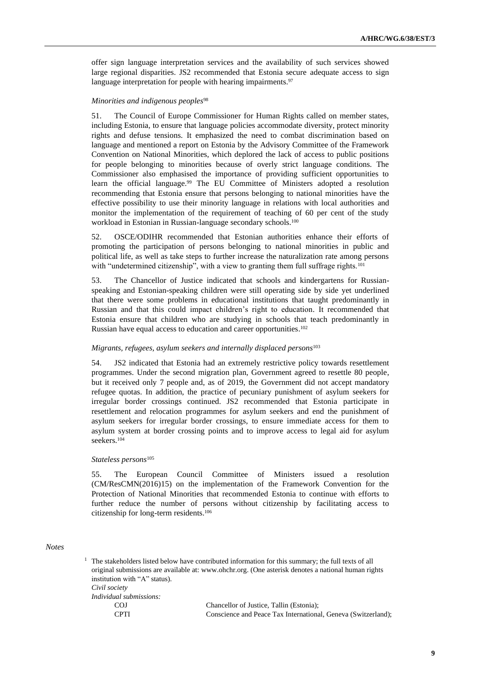offer sign language interpretation services and the availability of such services showed large regional disparities. JS2 recommended that Estonia secure adequate access to sign language interpretation for people with hearing impairments.<sup>97</sup>

#### *Minorities and indigenous peoples*<sup>98</sup>

51. The Council of Europe Commissioner for Human Rights called on member states, including Estonia, to ensure that language policies accommodate diversity, protect minority rights and defuse tensions. It emphasized the need to combat discrimination based on language and mentioned a report on Estonia by the Advisory Committee of the Framework Convention on National Minorities, which deplored the lack of access to public positions for people belonging to minorities because of overly strict language conditions. The Commissioner also emphasised the importance of providing sufficient opportunities to learn the official language.<sup>99</sup> The EU Committee of Ministers adopted a resolution recommending that Estonia ensure that persons belonging to national minorities have the effective possibility to use their minority language in relations with local authorities and monitor the implementation of the requirement of teaching of 60 per cent of the study workload in Estonian in Russian-language secondary schools.<sup>100</sup>

52. OSCE/ODIHR recommended that Estonian authorities enhance their efforts of promoting the participation of persons belonging to national minorities in public and political life, as well as take steps to further increase the naturalization rate among persons with "undetermined citizenship", with a view to granting them full suffrage rights.<sup>101</sup>

53. The Chancellor of Justice indicated that schools and kindergartens for Russianspeaking and Estonian-speaking children were still operating side by side yet underlined that there were some problems in educational institutions that taught predominantly in Russian and that this could impact children's right to education. It recommended that Estonia ensure that children who are studying in schools that teach predominantly in Russian have equal access to education and career opportunities. 102

#### *Migrants, refugees, asylum seekers and internally displaced persons*<sup>103</sup>

54. JS2 indicated that Estonia had an extremely restrictive policy towards resettlement programmes. Under the second migration plan, Government agreed to resettle 80 people, but it received only 7 people and, as of 2019, the Government did not accept mandatory refugee quotas. In addition, the practice of pecuniary punishment of asylum seekers for irregular border crossings continued. JS2 recommended that Estonia participate in resettlement and relocation programmes for asylum seekers and end the punishment of asylum seekers for irregular border crossings, to ensure immediate access for them to asylum system at border crossing points and to improve access to legal aid for asylum seekers. 104

#### *Stateless persons*<sup>105</sup>

55. The European Council Committee of Ministers issued a resolution (CM/ResCMN(2016)15) on the implementation of the Framework Convention for the Protection of National Minorities that recommended Estonia to continue with efforts to further reduce the number of persons without citizenship by facilitating access to citizenship for long-term residents. 106

#### *Notes*

|                                | <sup>1</sup> The stakeholders listed below have contributed information for this summary; the full texts of all |
|--------------------------------|-----------------------------------------------------------------------------------------------------------------|
|                                | original submissions are available at: www.ohchr.org. (One asterisk denotes a national human rights             |
| institution with "A" status).  |                                                                                                                 |
| Civil society                  |                                                                                                                 |
| <i>Individual submissions:</i> |                                                                                                                 |
| COJ                            | Chancellor of Justice, Tallin (Estonia);                                                                        |
| <b>CPTI</b>                    | Conscience and Peace Tax International, Geneva (Switzerland):                                                   |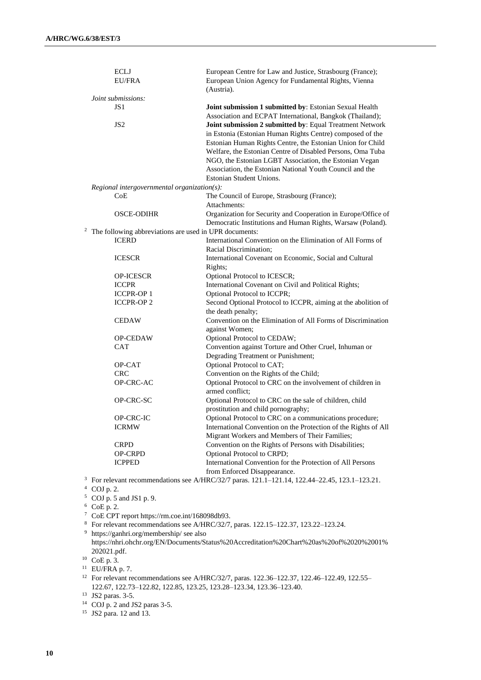| <b>ECLJ</b><br>EU/FRA                       | European Centre for Law and Justice, Strasbourg (France);<br>European Union Agency for Fundamental Rights, Vienna<br>(Austria).                                                                                                                                                                                                                                                                     |
|---------------------------------------------|-----------------------------------------------------------------------------------------------------------------------------------------------------------------------------------------------------------------------------------------------------------------------------------------------------------------------------------------------------------------------------------------------------|
| Joint submissions:                          |                                                                                                                                                                                                                                                                                                                                                                                                     |
| JS 1                                        | Joint submission 1 submitted by: Estonian Sexual Health<br>Association and ECPAT International, Bangkok (Thailand);                                                                                                                                                                                                                                                                                 |
| JS <sub>2</sub>                             | Joint submission 2 submitted by: Equal Treatment Network<br>in Estonia (Estonian Human Rights Centre) composed of the<br>Estonian Human Rights Centre, the Estonian Union for Child<br>Welfare, the Estonian Centre of Disabled Persons, Oma Tuba<br>NGO, the Estonian LGBT Association, the Estonian Vegan<br>Association, the Estonian National Youth Council and the<br>Estonian Student Unions. |
| Regional intergovernmental organization(s): |                                                                                                                                                                                                                                                                                                                                                                                                     |
| CoE                                         | The Council of Europe, Strasbourg (France);<br>Attachments:                                                                                                                                                                                                                                                                                                                                         |
| <b>OSCE-ODIHR</b>                           | Organization for Security and Cooperation in Europe/Office of<br>Democratic Institutions and Human Rights, Warsaw (Poland).                                                                                                                                                                                                                                                                         |
| $\overline{\mathbf{c}}$                     | The following abbreviations are used in UPR documents:                                                                                                                                                                                                                                                                                                                                              |
| <b>ICERD</b>                                | International Convention on the Elimination of All Forms of                                                                                                                                                                                                                                                                                                                                         |
|                                             | Racial Discrimination;                                                                                                                                                                                                                                                                                                                                                                              |
| <b>ICESCR</b>                               | International Covenant on Economic, Social and Cultural<br>Rights;                                                                                                                                                                                                                                                                                                                                  |
| OP-ICESCR                                   | Optional Protocol to ICESCR;                                                                                                                                                                                                                                                                                                                                                                        |
| <b>ICCPR</b>                                | International Covenant on Civil and Political Rights;                                                                                                                                                                                                                                                                                                                                               |
| <b>ICCPR-OP1</b>                            | Optional Protocol to ICCPR;                                                                                                                                                                                                                                                                                                                                                                         |
| <b>ICCPR-OP2</b>                            | Second Optional Protocol to ICCPR, aiming at the abolition of<br>the death penalty;                                                                                                                                                                                                                                                                                                                 |
| <b>CEDAW</b>                                | Convention on the Elimination of All Forms of Discrimination<br>against Women;                                                                                                                                                                                                                                                                                                                      |
| <b>OP-CEDAW</b>                             | Optional Protocol to CEDAW;                                                                                                                                                                                                                                                                                                                                                                         |
| <b>CAT</b>                                  | Convention against Torture and Other Cruel, Inhuman or<br>Degrading Treatment or Punishment;                                                                                                                                                                                                                                                                                                        |
| OP-CAT                                      | Optional Protocol to CAT;                                                                                                                                                                                                                                                                                                                                                                           |
| <b>CRC</b>                                  | Convention on the Rights of the Child;                                                                                                                                                                                                                                                                                                                                                              |
| OP-CRC-AC                                   | Optional Protocol to CRC on the involvement of children in<br>armed conflict;                                                                                                                                                                                                                                                                                                                       |
| OP-CRC-SC                                   | Optional Protocol to CRC on the sale of children, child<br>prostitution and child pornography;                                                                                                                                                                                                                                                                                                      |
| OP-CRC-IC                                   | Optional Protocol to CRC on a communications procedure;                                                                                                                                                                                                                                                                                                                                             |
| <b>ICRMW</b>                                | International Convention on the Protection of the Rights of All<br>Migrant Workers and Members of Their Families;                                                                                                                                                                                                                                                                                   |
| <b>CRPD</b>                                 | Convention on the Rights of Persons with Disabilities;                                                                                                                                                                                                                                                                                                                                              |
| OP-CRPD                                     | Optional Protocol to CRPD;                                                                                                                                                                                                                                                                                                                                                                          |
| <b>ICPPED</b>                               | International Convention for the Protection of All Persons<br>from Enforced Disappearance.                                                                                                                                                                                                                                                                                                          |
| COJ p. 2.                                   | For relevant recommendations see A/HRC/32/7 paras. 121.1-121.14, 122.44-22.45, 123.1-123.21.                                                                                                                                                                                                                                                                                                        |

 $5$  COJ p. 5 and JS1 p. 9.

 $6$  CoE p. 2.

<sup>7</sup> CoE CPT report [https://rm.coe.int/168098db93.](https://rm.coe.int/168098db93)

<sup>8</sup> For relevant recommendations see A/HRC/32/7, paras. 122.15–122.37, 123.22–123.24.

<sup>9</sup> <https://ganhri.org/membership/> see also https://nhri.ohchr.org/EN/Documents/Status%20Accreditation%20Chart%20as%20of%2020%2001% 202021.pdf.

<sup>10</sup> CoE p. 3.

<sup>11</sup> EU/FRA p. 7.

<sup>12</sup> For relevant recommendations see A/HRC/32/7, paras. 122.36–122.37, 122.46–122.49, 122.55– 122.67, 122.73–122.82, 122.85, 123.25, 123.28–123.34, 123.36–123.40.

<sup>13</sup> JS2 paras. 3-5.

<sup>14</sup> COJ p. 2 and JS2 paras 3-5.

<sup>15</sup> JS2 para. 12 and 13.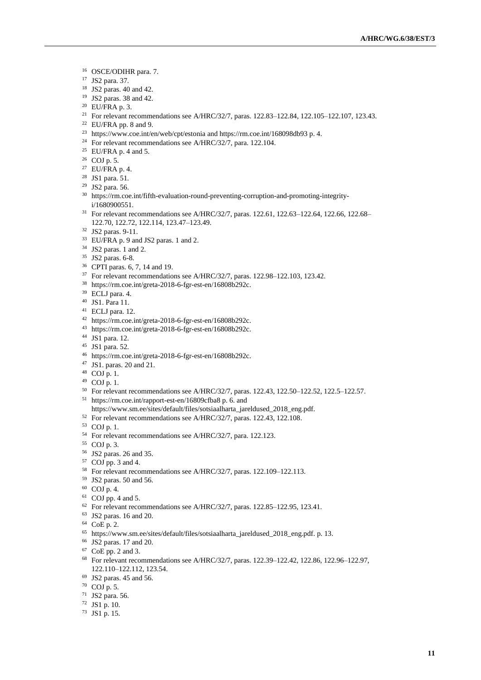- OSCE/ODIHR para. 7.
- JS2 para. 37.
- JS2 paras. 40 and 42.
- JS2 paras. 38 and 42.
- EU/FRA p. 3.
- <sup>21</sup> For relevant recommendations see A/HRC/32/7, paras. 122.83-122.84, 122.105-122.107, 123.43.
- EU/FRA pp. 8 and 9.
- <sup>23</sup> <https://www.coe.int/en/web/cpt/estonia> and<https://rm.coe.int/168098db93> p. 4.
- <sup>24</sup> For relevant recommendations see A/HRC/32/7, para. 122.104.
- EU/FRA p. 4 and 5.
- COJ p. 5.
- EU/FRA p. 4.
- JS1 para. 51.
- JS2 para. 56.
- [https://rm.coe.int/fifth-evaluation-round-preventing-corruption-and-promoting-integrity](https://rm.coe.int/fifth-evaluation-round-preventing-corruption-and-promoting-integrity-i/1680900551)[i/1680900551.](https://rm.coe.int/fifth-evaluation-round-preventing-corruption-and-promoting-integrity-i/1680900551)
- For relevant recommendations see A/HRC/32/7, paras. 122.61, 122.63–122.64, 122.66, 122.68– 122.70, 122.72, 122.114, 123.47–123.49.
- JS2 paras. 9-11.
- EU/FRA p. 9 and JS2 paras. 1 and 2.
- JS2 paras. 1 and 2.
- JS2 paras. 6-8.
- CPTI paras. 6, 7, 14 and 19.
- For relevant recommendations see A/HRC/32/7, paras. 122.98–122.103, 123.42.
- [https://rm.coe.int/greta-2018-6-fgr-est-en/16808b292c.](https://rm.coe.int/greta-2018-6-fgr-est-en/16808b292c)
- ECLJ para. 4.
- JS1. Para 11.
- ECLJ para. 12.
- [https://rm.coe.int/greta-2018-6-fgr-est-en/16808b292c.](https://rm.coe.int/greta-2018-6-fgr-est-en/16808b292c)
- [https://rm.coe.int/greta-2018-6-fgr-est-en/16808b292c.](https://rm.coe.int/greta-2018-6-fgr-est-en/16808b292c)
- JS1 para. 12.
- JS1 para. 52.
- [https://rm.coe.int/greta-2018-6-fgr-est-en/16808b292c.](https://rm.coe.int/greta-2018-6-fgr-est-en/16808b292c)
- JS1. paras. 20 and 21.
- COJ p. 1.
- COJ p. 1.
- For relevant recommendations see A/HRC/32/7, paras. 122.43, 122.50–122.52, 122.5–122.57.
- <https://rm.coe.int/rapport-est-en/16809cfba8> p. 6. and
- [https://www.sm.ee/sites/default/files/sotsiaalharta\\_jareldused\\_2018\\_eng.pdf.](https://www.sm.ee/sites/default/files/sotsiaalharta_jareldused_2018_eng.pdf)
- For relevant recommendations see A/HRC/32/7, paras. 122.43, 122.108.
- COJ p. 1.
- For relevant recommendations see A/HRC/32/7, para. 122.123.
- COJ p. 3.
- JS2 paras. 26 and 35.
- COJ pp. 3 and 4.
- For relevant recommendations see A/HRC/32/7, paras. 122.109–122.113.
- JS2 paras. 50 and 56.
- COJ p. 4.
- COJ pp. 4 and 5.
- For relevant recommendations see A/HRC/32/7, paras. 122.85–122.95, 123.41.
- JS2 paras. 16 and 20.
- CoE p. 2.
- [https://www.sm.ee/sites/default/files/sotsiaalharta\\_jareldused\\_2018\\_eng.pdf.](https://www.sm.ee/sites/default/files/sotsiaalharta_jareldused_2018_eng.pdf) p. 13.
- JS2 paras. 17 and 20.
- CoE pp. 2 and 3.
- For relevant recommendations see A/HRC/32/7, paras. 122.39–122.42, 122.86, 122.96–122.97, 122.110–122.112, 123.54.
- JS2 paras. 45 and 56.
- COJ p. 5.
- JS2 para. 56.
- JS1 p. 10.
- JS1 p. 15.